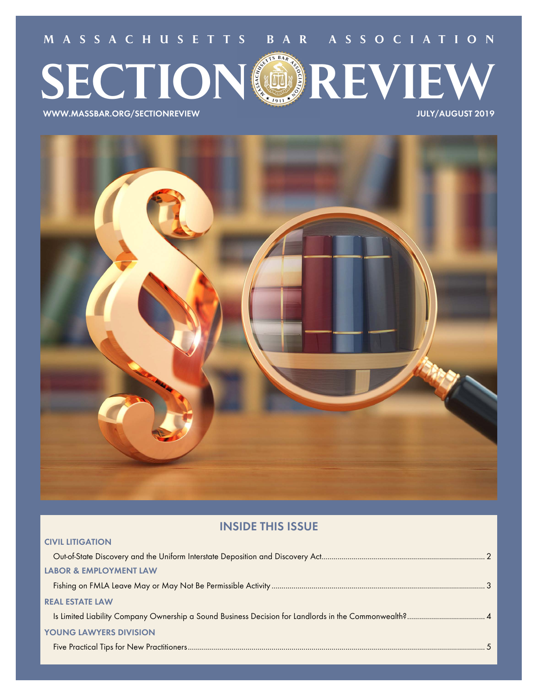**MA SSACHU SETTS BAR A SSOC IAT ION**

# **SECTION REVIEW**

**WWW.MASSBAR.ORG/SECTIONREVIEW JULY/AUGUST 2019**

**CIVIL LITIGATION**



# **INSIDE THIS ISSUE**

| <b>LABOR &amp; EMPLOYMENT LAW</b> |  |
|-----------------------------------|--|
|                                   |  |
| <b>REAL ESTATE LAW</b>            |  |
|                                   |  |
| <b>YOUNG LAWYERS DIVISION</b>     |  |
|                                   |  |
|                                   |  |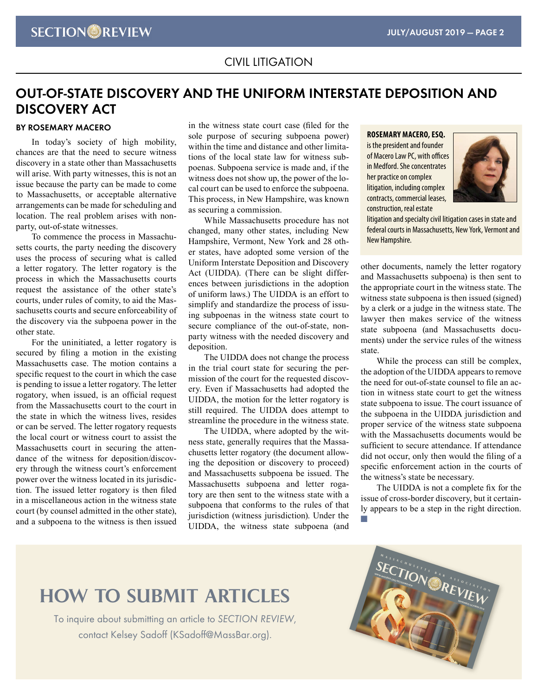# CIVIL LITIGATION

# **OUT-OF-STATE DISCOVERY AND THE UNIFORM INTERSTATE DEPOSITION AND DISCOVERY ACT**

# **BY ROSEMARY MACERO**

In today's society of high mobility, chances are that the need to secure witness discovery in a state other than Massachusetts will arise. With party witnesses, this is not an issue because the party can be made to come to Massachusetts, or acceptable alternative arrangements can be made for scheduling and location. The real problem arises with nonparty, out-of-state witnesses.

To commence the process in Massachusetts courts, the party needing the discovery uses the process of securing what is called a letter rogatory. The letter rogatory is the process in which the Massachusetts courts request the assistance of the other state's courts, under rules of comity, to aid the Massachusetts courts and secure enforceability of the discovery via the subpoena power in the other state.

For the uninitiated, a letter rogatory is secured by filing a motion in the existing Massachusetts case. The motion contains a specific request to the court in which the case is pending to issue a letter rogatory. The letter rogatory, when issued, is an official request from the Massachusetts court to the court in the state in which the witness lives, resides or can be served. The letter rogatory requests the local court or witness court to assist the Massachusetts court in securing the attendance of the witness for deposition/discovery through the witness court's enforcement power over the witness located in its jurisdiction. The issued letter rogatory is then filed in a miscellaneous action in the witness state court (by counsel admitted in the other state), and a subpoena to the witness is then issued

in the witness state court case (filed for the sole purpose of securing subpoena power) within the time and distance and other limitations of the local state law for witness subpoenas. Subpoena service is made and, if the witness does not show up, the power of the local court can be used to enforce the subpoena. This process, in New Hampshire, was known as securing a commission.

While Massachusetts procedure has not changed, many other states, including New Hampshire, Vermont, New York and 28 other states, have adopted some version of the Uniform Interstate Deposition and Discovery Act (UIDDA). (There can be slight differences between jurisdictions in the adoption of uniform laws.) The UIDDA is an effort to simplify and standardize the process of issuing subpoenas in the witness state court to secure compliance of the out-of-state, nonparty witness with the needed discovery and deposition.

The UIDDA does not change the process in the trial court state for securing the permission of the court for the requested discovery. Even if Massachusetts had adopted the UIDDA, the motion for the letter rogatory is still required. The UIDDA does attempt to streamline the procedure in the witness state.

The UIDDA, where adopted by the witness state, generally requires that the Massachusetts letter rogatory (the document allowing the deposition or discovery to proceed) and Massachusetts subpoena be issued. The Massachusetts subpoena and letter rogatory are then sent to the witness state with a subpoena that conforms to the rules of that jurisdiction (witness jurisdiction). Under the UIDDA, the witness state subpoena (and

**ROSEMARY MACERO, ESQ.**  is the president and founder of Macero Law PC, with offices in Medford. She concentrates her practice on complex litigation, including complex contracts, commercial leases, construction, real estate



litigation and specialty civil litigation cases in state and federal courts in Massachusetts, New York, Vermont and New Hampshire.

other documents, namely the letter rogatory and Massachusetts subpoena) is then sent to the appropriate court in the witness state. The witness state subpoena is then issued (signed) by a clerk or a judge in the witness state. The lawyer then makes service of the witness state subpoena (and Massachusetts documents) under the service rules of the witness state.

While the process can still be complex, the adoption of the UIDDA appears to remove the need for out-of-state counsel to file an action in witness state court to get the witness state subpoena to issue. The court issuance of the subpoena in the UIDDA jurisdiction and proper service of the witness state subpoena with the Massachusetts documents would be sufficient to secure attendance. If attendance did not occur, only then would the filing of a specific enforcement action in the courts of the witness's state be necessary.

The UIDDA is not a complete fix for the issue of cross-border discovery, but it certainly appears to be a step in the right direction.

T.

# **HOW TO SUBMIT ARTICLES**

To inquire about submitting an article to SECTION REVIEW, contact Kelsey Sadoff (KSadoff[@](mailto:DDomian@GOULSTONSTORRS.com)MassBar.org).

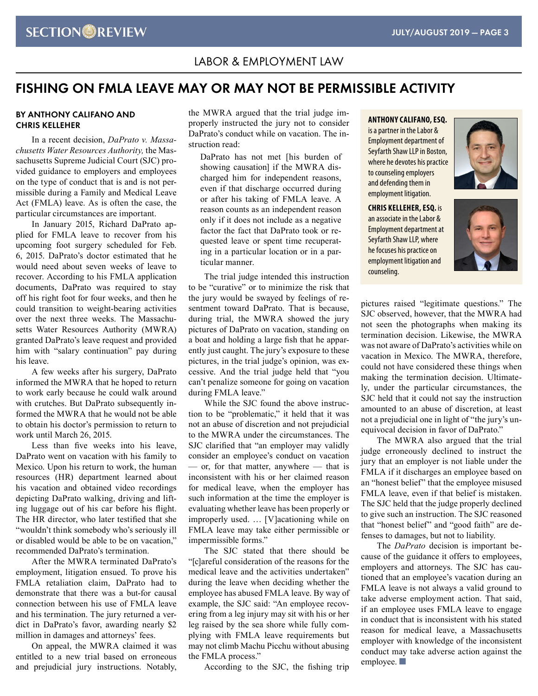# LABOR & EMPLOYMENT LAW

# **FISHING ON FMLA LEAVE MAY OR MAY NOT BE PERMISSIBLE ACTIVITY**

# **BY ANTHONY CALIFANO AND CHRIS KELLEHER**

In a recent decision, *DaPrato v. Massachusetts Water Resources Authority,* the Massachusetts Supreme Judicial Court (SJC) provided guidance to employers and employees on the type of conduct that is and is not permissible during a Family and Medical Leave Act (FMLA) leave. As is often the case, the particular circumstances are important.

In January 2015, Richard DaPrato applied for FMLA leave to recover from his upcoming foot surgery scheduled for Feb. 6, 2015. DaPrato's doctor estimated that he would need about seven weeks of leave to recover. According to his FMLA application documents, DaPrato was required to stay off his right foot for four weeks, and then he could transition to weight-bearing activities over the next three weeks. The Massachusetts Water Resources Authority (MWRA) granted DaPrato's leave request and provided him with "salary continuation" pay during his leave.

A few weeks after his surgery, DaPrato informed the MWRA that he hoped to return to work early because he could walk around with crutches. But DaPrato subsequently informed the MWRA that he would not be able to obtain his doctor's permission to return to work until March 26, 2015.

Less than five weeks into his leave, DaPrato went on vacation with his family to Mexico. Upon his return to work, the human resources (HR) department learned about his vacation and obtained video recordings depicting DaPrato walking, driving and lifting luggage out of his car before his flight. The HR director, who later testified that she "wouldn't think somebody who's seriously ill or disabled would be able to be on vacation," recommended DaPrato's termination.

After the MWRA terminated DaPrato's employment, litigation ensued. To prove his FMLA retaliation claim, DaPrato had to demonstrate that there was a but-for causal connection between his use of FMLA leave and his termination. The jury returned a verdict in DaPrato's favor, awarding nearly \$2 million in damages and attorneys' fees.

On appeal, the MWRA claimed it was entitled to a new trial based on erroneous and prejudicial jury instructions. Notably, the MWRA argued that the trial judge improperly instructed the jury not to consider DaPrato's conduct while on vacation. The instruction read:

DaPrato has not met [his burden of showing causation] if the MWRA discharged him for independent reasons, even if that discharge occurred during or after his taking of FMLA leave. A reason counts as an independent reason only if it does not include as a negative factor the fact that DaPrato took or requested leave or spent time recuperating in a particular location or in a particular manner.

The trial judge intended this instruction to be "curative" or to minimize the risk that the jury would be swayed by feelings of resentment toward DaPrato. That is because, during trial, the MWRA showed the jury pictures of DaPrato on vacation, standing on a boat and holding a large fish that he apparently just caught. The jury's exposure to these pictures, in the trial judge's opinion, was excessive. And the trial judge held that "you can't penalize someone for going on vacation during FMLA leave."

While the SJC found the above instruction to be "problematic," it held that it was not an abuse of discretion and not prejudicial to the MWRA under the circumstances. The SJC clarified that "an employer may validly consider an employee's conduct on vacation — or, for that matter, anywhere — that is inconsistent with his or her claimed reason for medical leave, when the employer has such information at the time the employer is evaluating whether leave has been properly or improperly used. … [V]acationing while on FMLA leave may take either permissible or impermissible forms."

The SJC stated that there should be "[c]areful consideration of the reasons for the medical leave and the activities undertaken" during the leave when deciding whether the employee has abused FMLA leave. By way of example, the SJC said: "An employee recovering from a leg injury may sit with his or her leg raised by the sea shore while fully complying with FMLA leave requirements but may not climb Machu Picchu without abusing the FMLA process."

According to the SJC, the fishing trip

**ANTHONY CALIFANO, ESQ.**

is a partner in the Labor & Employment department of Seyfarth Shaw LLP in Boston, where he devotes his practice to counseling employers and defending them in employment litigation.

**CHRIS KELLEHER, ESQ.** is an associate in the Labor & Employment department at Seyfarth Shaw LLP, where he focuses his practice on employment litigation and counseling.





pictures raised "legitimate questions." The SJC observed, however, that the MWRA had not seen the photographs when making its termination decision. Likewise, the MWRA was not aware of DaPrato's activities while on vacation in Mexico. The MWRA, therefore, could not have considered these things when making the termination decision. Ultimately, under the particular circumstances, the SJC held that it could not say the instruction amounted to an abuse of discretion, at least not a prejudicial one in light of "the jury's unequivocal decision in favor of DaPrato."

The MWRA also argued that the trial judge erroneously declined to instruct the jury that an employer is not liable under the FMLA if it discharges an employee based on an "honest belief" that the employee misused FMLA leave, even if that belief is mistaken. The SJC held that the judge properly declined to give such an instruction. The SJC reasoned that "honest belief" and "good faith" are defenses to damages, but not to liability.

The *DaPrato* decision is important because of the guidance it offers to employees, employers and attorneys. The SJC has cautioned that an employee's vacation during an FMLA leave is not always a valid ground to take adverse employment action. That said, if an employee uses FMLA leave to engage in conduct that is inconsistent with his stated reason for medical leave, a Massachusetts employer with knowledge of the inconsistent conduct may take adverse action against the employee.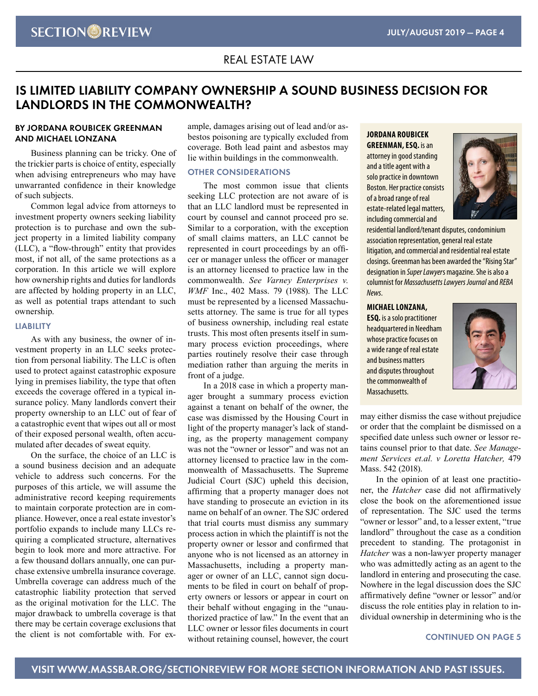# REAL ESTATE LAW

# **IS LIMITED LIABILITY COMPANY OWNERSHIP A SOUND BUSINESS DECISION FOR LANDLORDS IN THE COMMONWEALTH?**

# **BY JORDANA ROUBICEK GREENMAN AND MICHAEL LONZANA**

Business planning can be tricky. One of the trickier parts is choice of entity, especially when advising entrepreneurs who may have unwarranted confidence in their knowledge of such subjects.

Common legal advice from attorneys to investment property owners seeking liability protection is to purchase and own the subject property in a limited liability company (LLC), a "flow-through" entity that provides most, if not all, of the same protections as a corporation. In this article we will explore how ownership rights and duties for landlords are affected by holding property in an LLC, as well as potential traps attendant to such ownership.

### **LIABILITY**

As with any business, the owner of investment property in an LLC seeks protection from personal liability. The LLC is often used to protect against catastrophic exposure lying in premises liability, the type that often exceeds the coverage offered in a typical insurance policy. Many landlords convert their property ownership to an LLC out of fear of a catastrophic event that wipes out all or most of their exposed personal wealth, often accumulated after decades of sweat equity.

On the surface, the choice of an LLC is a sound business decision and an adequate vehicle to address such concerns. For the purposes of this article, we will assume the administrative record keeping requirements to maintain corporate protection are in compliance. However, once a real estate investor's portfolio expands to include many LLCs requiring a complicated structure, alternatives begin to look more and more attractive. For a few thousand dollars annually, one can purchase extensive umbrella insurance coverage. Umbrella coverage can address much of the catastrophic liability protection that served as the original motivation for the LLC. The major drawback to umbrella coverage is that there may be certain coverage exclusions that the client is not comfortable with. For example, damages arising out of lead and/or asbestos poisoning are typically excluded from coverage. Both lead paint and asbestos may lie within buildings in the commonwealth.

### **OTHER CONSIDERATIONS**

The most common issue that clients seeking LLC protection are not aware of is that an LLC landlord must be represented in court by counsel and cannot proceed pro se. Similar to a corporation, with the exception of small claims matters, an LLC cannot be represented in court proceedings by an officer or manager unless the officer or manager is an attorney licensed to practice law in the commonwealth. *See Varney Enterprises v. WMF* Inc., 402 Mass. 79 (1988). The LLC must be represented by a licensed Massachusetts attorney. The same is true for all types of business ownership, including real estate trusts. This most often presents itself in summary process eviction proceedings, where parties routinely resolve their case through mediation rather than arguing the merits in front of a judge.

In a 2018 case in which a property manager brought a summary process eviction against a tenant on behalf of the owner, the case was dismissed by the Housing Court in light of the property manager's lack of standing, as the property management company was not the "owner or lessor" and was not an attorney licensed to practice law in the commonwealth of Massachusetts. The Supreme Judicial Court (SJC) upheld this decision, affirming that a property manager does not have standing to prosecute an eviction in its name on behalf of an owner. The SJC ordered that trial courts must dismiss any summary process action in which the plaintiff is not the property owner or lessor and confirmed that anyone who is not licensed as an attorney in Massachusetts, including a property manager or owner of an LLC, cannot sign documents to be filed in court on behalf of property owners or lessors or appear in court on their behalf without engaging in the "unauthorized practice of law." In the event that an LLC owner or lessor files documents in court without retaining counsel, however, the court

# **JORDANA ROUBICEK GREENMAN, ESQ.** is an

attorney in good standing and a title agent with a solo practice in downtown Boston. Her practice consists of a broad range of real estate-related legal matters, including commercial and



residential landlord/tenant disputes, condominium association representation, general real estate litigation, and commercial and residential real estate closings. Greenman has been awarded the "Rising Star" designation in *Super Lawyer*s magazine. She is also a columnist for *Massachusetts Lawyers Journal* and *REBA News*.

# **MICHAEL LONZANA,**

**ESQ.** is a solo practitioner headquartered in Needham whose practice focuses on a wide range of real estate and business matters and disputes throughout the commonwealth of Massachusetts.



may either dismiss the case without prejudice or order that the complaint be dismissed on a specified date unless such owner or lessor retains counsel prior to that date. *See Management Services et.al. v Loretta Hatcher,* 479 Mass. 542 (2018).

In the opinion of at least one practitioner, the *Hatcher* case did not affirmatively close the book on the aforementioned issue of representation. The SJC used the terms "owner or lessor" and, to a lesser extent, "true landlord" throughout the case as a condition precedent to standing. The protagonist in *Hatcher* was a non-lawyer property manager who was admittedly acting as an agent to the landlord in entering and prosecuting the case. Nowhere in the legal discussion does the SJC affirmatively define "owner or lessor" and/or discuss the role entities play in relation to individual ownership in determining who is the

# **CONTINUED ON PAGE 5**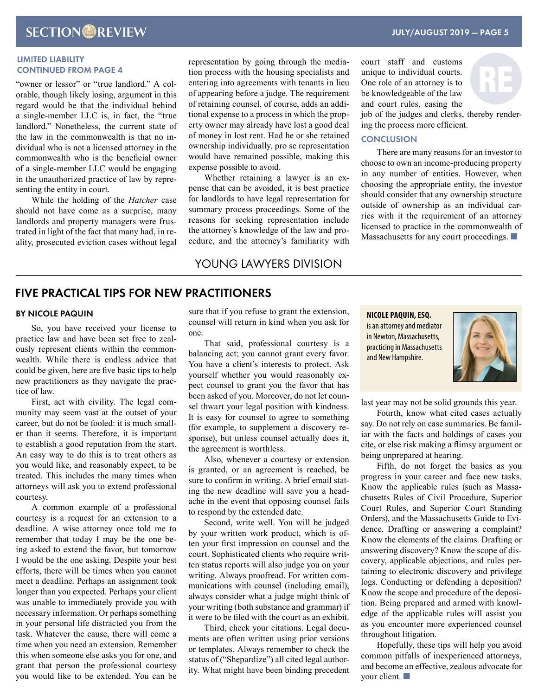# **LIMITED LIABILITY CONTINUED FROM PAGE 4**

"owner or lessor" or "true landlord." A colorable, though likely losing, argument in this regard would be that the individual behind a single-member LLC is, in fact, the "true landlord." Nonetheless, the current state of the law in the commonwealth is that no individual who is not a licensed attorney in the commonwealth who is the beneficial owner of a single-member LLC would be engaging in the unauthorized practice of law by representing the entity in court.

While the holding of the *Hatcher* case should not have come as a surprise, many landlords and property managers were frustrated in light of the fact that many had, in reality, prosecuted eviction cases without legal representation by going through the mediation process with the housing specialists and entering into agreements with tenants in lieu of appearing before a judge. The requirement of retaining counsel, of course, adds an additional expense to a process in which the property owner may already have lost a good deal of money in lost rent. Had he or she retained ownership individually, pro se representation would have remained possible, making this expense possible to avoid.

Whether retaining a lawyer is an expense that can be avoided, it is best practice for landlords to have legal representation for summary process proceedings. Some of the reasons for seeking representation include the attorney's knowledge of the law and procedure, and the attorney's familiarity with

# YOUNG LAWYERS DIVISION

# court staff and customs unique to individual courts. One role of an attorney is to be knowledgeable of the law and court rules, easing the

RE

job of the judges and clerks, thereby rendering the process more efficient.

# **CONCLUSION**

There are many reasons for an investor to choose to own an income-producing property in any number of entities. However, when choosing the appropriate entity, the investor should consider that any ownership structure outside of ownership as an individual carries with it the requirement of an attorney licensed to practice in the commonwealth of Massachusetts for any court proceedings.

# **FIVE PRACTICAL TIPS FOR NEW PRACTITIONERS**

# **BY NICOLE PAQUIN**

So, you have received your license to practice law and have been set free to zealously represent clients within the commonwealth. While there is endless advice that could be given, here are five basic tips to help new practitioners as they navigate the practice of law.

First, act with civility. The legal community may seem vast at the outset of your career, but do not be fooled: it is much smaller than it seems. Therefore, it is important to establish a good reputation from the start. An easy way to do this is to treat others as you would like, and reasonably expect, to be treated. This includes the many times when attorneys will ask you to extend professional courtesy.

A common example of a professional courtesy is a request for an extension to a deadline. A wise attorney once told me to remember that today I may be the one being asked to extend the favor, but tomorrow I would be the one asking. Despite your best efforts, there will be times when you cannot meet a deadline. Perhaps an assignment took longer than you expected. Perhaps your client was unable to immediately provide you with necessary information. Or perhaps something in your personal life distracted you from the task. Whatever the cause, there will come a time when you need an extension. Remember this when someone else asks you for one, and grant that person the professional courtesy you would like to be extended. You can be sure that if you refuse to grant the extension, counsel will return in kind when you ask for one.

That said, professional courtesy is a balancing act; you cannot grant every favor. You have a client's interests to protect. Ask yourself whether you would reasonably expect counsel to grant you the favor that has been asked of you. Moreover, do not let counsel thwart your legal position with kindness. It is easy for counsel to agree to something (for example, to supplement a discovery response), but unless counsel actually does it, the agreement is worthless.

Also, whenever a courtesy or extension is granted, or an agreement is reached, be sure to confirm in writing. A brief email stating the new deadline will save you a headache in the event that opposing counsel fails to respond by the extended date.

Second, write well. You will be judged by your written work product, which is often your first impression on counsel and the court. Sophisticated clients who require written status reports will also judge you on your writing. Always proofread. For written communications with counsel (including email), always consider what a judge might think of your writing (both substance and grammar) if it were to be filed with the court as an exhibit.

Third, check your citations. Legal documents are often written using prior versions or templates. Always remember to check the status of ("Shepardize") all cited legal authority. What might have been binding precedent

**NICOLE PAQUIN, ESQ.**  is an attorney and mediator in Newton, Massachusetts, practicing in Massachusetts and New Hampshire.



last year may not be solid grounds this year.

Fourth, know what cited cases actually say. Do not rely on case summaries. Be familiar with the facts and holdings of cases you cite, or else risk making a flimsy argument or being unprepared at hearing.

Fifth, do not forget the basics as you progress in your career and face new tasks. Know the applicable rules (such as Massachusetts Rules of Civil Procedure, Superior Court Rules, and Superior Court Standing Orders), and the Massachusetts Guide to Evidence. Drafting or answering a complaint? Know the elements of the claims. Drafting or answering discovery? Know the scope of discovery, applicable objections, and rules pertaining to electronic discovery and privilege logs. Conducting or defending a deposition? Know the scope and procedure of the deposition. Being prepared and armed with knowledge of the applicable rules will assist you as you encounter more experienced counsel throughout litigation.

Hopefully, these tips will help you avoid common pitfalls of inexperienced attorneys, and become an effective, zealous advocate for your client.